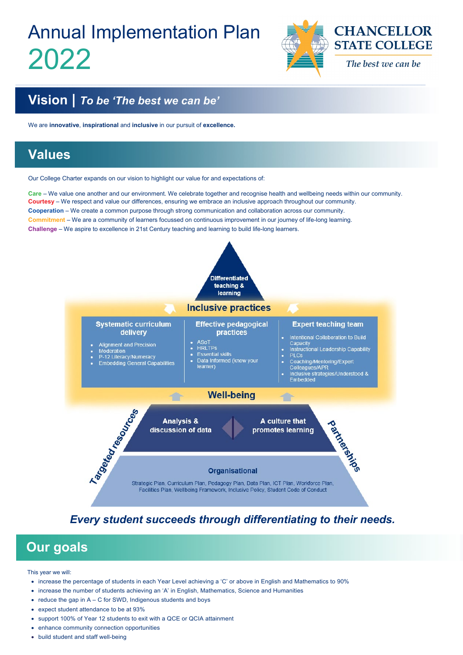\_\_\_\_\_\_\_\_\_\_\_\_\_\_\_\_\_\_\_\_\_\_\_\_\_\_\_\_\_\_\_\_\_\_\_\_\_\_\_\_\_\_\_\_\_\_\_\_\_\_\_\_\_\_\_\_\_\_\_\_\_\_\_\_\_\_\_\_\_\_\_\_\_\_\_\_\_\_\_\_\_\_\_\_\_\_\_\_\_\_\_\_\_\_\_\_\_\_\_\_\_\_\_\_\_\_\_\_



This year we will:

- increase the percentage of students in each Year Level achieving a 'C' or above in English and Mathematics to 90%
- increase the number of students achieving an 'A' in English, Mathematics, Science and Humanities
- reduce the gap in  $A C$  for SWD, Indigenous students and boys
- expect student attendance to be at 93%
- support 100% of Year 12 students to exit with a QCE or QCIA attainment
- enhance community connection opportunities
- build student and staff well-being

# Annual Implementation Plan 2022



### **Vision |** *To be 'The best we can be'*

We are **innovative**, **inspirational** and **inclusive** in our pursuit of **excellence.**

### **Values**

Our College Charter expands on our vision to highlight our value for and expectations of:

**Care** – We value one another and our environment. We celebrate together and recognise health and wellbeing needs within our community. **Courtesy** – We respect and value our differences, ensuring we embrace an inclusive approach throughout our community. **Cooperation** – We create a common purpose through strong communication and collaboration across our community. **Commitment** – We are a community of learners focussed on continuous improvement in our journey of life-long learning. **Challenge** – We aspire to excellence in 21st Century teaching and learning to build life-long learners.



#### *Every student succeeds through differentiating to their needs.*